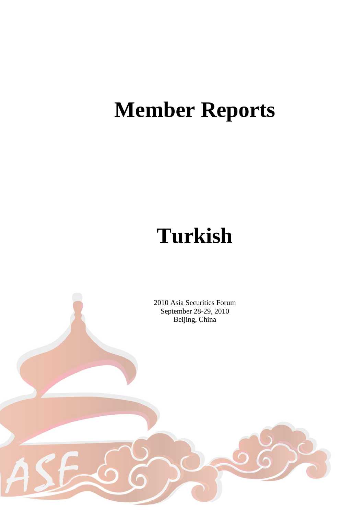# **Member Reports**

# **Turkish**

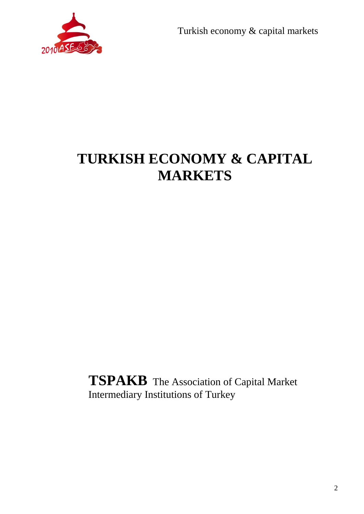

## **TURKISH ECONOMY & CAPITAL MARKETS**

**TSPAKB** The Association of Capital Market Intermediary Institutions of Turkey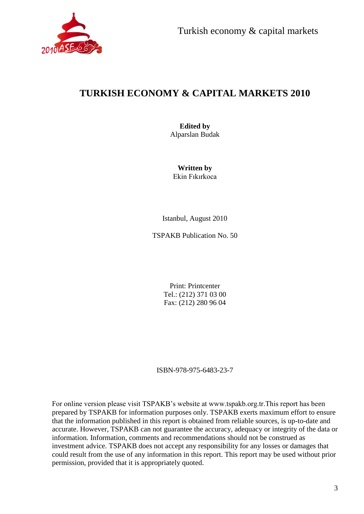

## **TURKISH ECONOMY & CAPITAL MARKETS 2010**

**Edited by** Alparslan Budak

**Written by** Ekin Fıkırkoca

Istanbul, August 2010

TSPAKB Publication No. 50

Print: Printcenter Tel.: (212) 371 03 00 Fax: (212) 280 96 04

ISBN-978-975-6483-23-7

For online version please visit TSPAKB's website at www.tspakb.org.tr.This report has been prepared by TSPAKB for information purposes only. TSPAKB exerts maximum effort to ensure that the information published in this report is obtained from reliable sources, is up-to-date and accurate. However, TSPAKB can not guarantee the accuracy, adequacy or integrity of the data or information. Information, comments and recommendations should not be construed as investment advice. TSPAKB does not accept any responsibility for any losses or damages that could result from the use of any information in this report. This report may be used without prior permission, provided that it is appropriately quoted.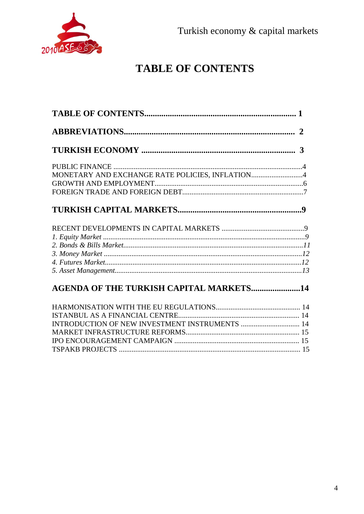

## **TABLE OF CONTENTS**

| MONETARY AND EXCHANGE RATE POLICIES, INFLATION4 |
|-------------------------------------------------|
|                                                 |
|                                                 |
|                                                 |
|                                                 |
|                                                 |
|                                                 |
| <b>AGENDA OF THE TURKISH CAPITAL MARKETS14</b>  |
|                                                 |
|                                                 |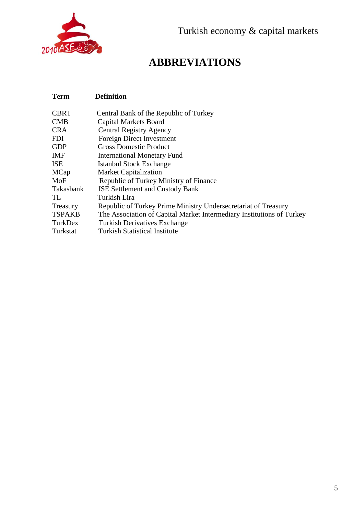

## **ABBREVIATIONS**

## **Term Definition**

| <b>CBRT</b>   | Central Bank of the Republic of Turkey                                |
|---------------|-----------------------------------------------------------------------|
| <b>CMB</b>    | <b>Capital Markets Board</b>                                          |
| <b>CRA</b>    | <b>Central Registry Agency</b>                                        |
| <b>FDI</b>    | Foreign Direct Investment                                             |
| <b>GDP</b>    | <b>Gross Domestic Product</b>                                         |
| IMF           | <b>International Monetary Fund</b>                                    |
| <b>ISE</b>    | Istanbul Stock Exchange                                               |
| MCap          | <b>Market Capitalization</b>                                          |
| MoF           | Republic of Turkey Ministry of Finance                                |
| Takasbank     | <b>ISE Settlement and Custody Bank</b>                                |
| TL.           | Turkish Lira                                                          |
| Treasury      | Republic of Turkey Prime Ministry Undersecretariat of Treasury        |
| <b>TSPAKB</b> | The Association of Capital Market Intermediary Institutions of Turkey |
| TurkDex       | <b>Turkish Derivatives Exchange</b>                                   |
| Turkstat      | <b>Turkish Statistical Institute</b>                                  |
|               |                                                                       |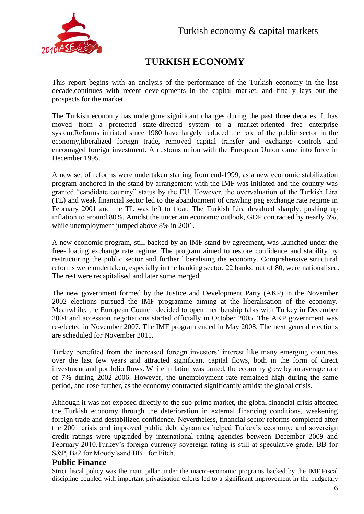

## **TURKISH ECONOMY**

This report begins with an analysis of the performance of the Turkish economy in the last decade,continues with recent developments in the capital market, and finally lays out the prospects for the market.

The Turkish economy has undergone significant changes during the past three decades. It has moved from a protected state-directed system to a market-oriented free enterprise system.Reforms initiated since 1980 have largely reduced the role of the public sector in the economy,liberalized foreign trade, removed capital transfer and exchange controls and encouraged foreign investment. A customs union with the European Union came into force in December 1995.

A new set of reforms were undertaken starting from end-1999, as a new economic stabilization program anchored in the stand-by arrangement with the IMF was initiated and the country was granted "candidate country" status by the EU. However, the overvaluation of the Turkish Lira (TL) and weak financial sector led to the abandonment of crawling peg exchange rate regime in February 2001 and the TL was left to float. The Turkish Lira devalued sharply, pushing up inflation to around 80%. Amidst the uncertain economic outlook, GDP contracted by nearly 6%, while unemployment jumped above 8% in 2001.

A new economic program, still backed by an IMF stand-by agreement, was launched under the free-floating exchange rate regime. The program aimed to restore confidence and stability by restructuring the public sector and further liberalising the economy. Comprehensive structural reforms were undertaken, especially in the banking sector. 22 banks, out of 80, were nationalised. The rest were recapitalised and later some merged.

The new government formed by the Justice and Development Party (AKP) in the November 2002 elections pursued the IMF programme aiming at the liberalisation of the economy. Meanwhile, the European Council decided to open membership talks with Turkey in December 2004 and accession negotiations started officially in October 2005. The AKP government was re-elected in November 2007. The IMF program ended in May 2008. The next general elections are scheduled for November 2011.

Turkey benefited from the increased foreign investors' interest like many emerging countries over the last few years and attracted significant capital flows, both in the form of direct investment and portfolio flows. While inflation was tamed, the economy grew by an average rate of 7% during 2002-2006. However, the unemployment rate remained high during the same period, and rose further, as the economy contracted significantly amidst the global crisis.

Although it was not exposed directly to the sub-prime market, the global financial crisis affected the Turkish economy through the deterioration in external financing conditions, weakening foreign trade and destabilized confidence. Nevertheless, financial sector reforms completed after the 2001 crisis and improved public debt dynamics helped Turkey's economy; and sovereign credit ratings were upgraded by international rating agencies between December 2009 and February 2010.Turkey's foreign currency sovereign rating is still at speculative grade, BB for S&P, Ba2 for Moody'sand BB+ for Fitch.

#### **Public Finance**

Strict fiscal policy was the main pillar under the macro-economic programs backed by the IMF.Fiscal discipline coupled with important privatisation efforts led to a significant improvement in the budgetary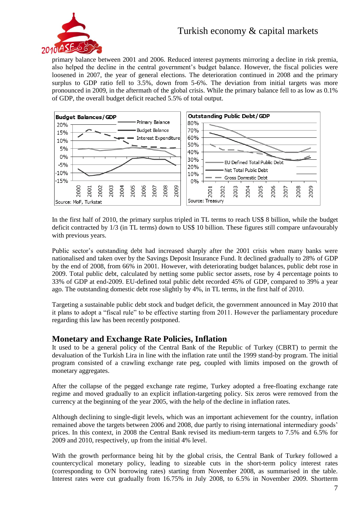

primary balance between 2001 and 2006. Reduced interest payments mirroring a decline in risk premia, also helped the decline in the central government's budget balance. However, the fiscal policies were loosened in 2007, the year of general elections. The deterioration continued in 2008 and the primary surplus to GDP ratio fell to 3.5%, down from 5-6%. The deviation from initial targets was more pronounced in 2009, in the aftermath of the global crisis. While the primary balance fell to as low as 0.1% of GDP, the overall budget deficit reached 5.5% of total output.



In the first half of 2010, the primary surplus tripled in TL terms to reach US\$ 8 billion, while the budget deficit contracted by 1/3 (in TL terms) down to US\$ 10 billion. These figures still compare unfavourably with previous years.

Public sector's outstanding debt had increased sharply after the 2001 crisis when many banks were nationalised and taken over by the Savings Deposit Insurance Fund. It declined gradually to 28% of GDP by the end of 2008, from 66% in 2001. However, with deteriorating budget balances, public debt rose in 2009. Total public debt, calculated by netting some public sector assets, rose by 4 percentage points to 33% of GDP at end-2009. EU-defined total public debt recorded 45% of GDP, compared to 39% a year ago. The outstanding domestic debt rose slightly by 4%, in TL terms, in the first half of 2010.

Targeting a sustainable public debt stock and budget deficit, the government announced in May 2010 that it plans to adopt a "fiscal rule" to be effective starting from 2011. However the parliamentary procedure regarding this law has been recently postponed.

#### **Monetary and Exchange Rate Policies, Inflation**

It used to be a general policy of the Central Bank of the Republic of Turkey (CBRT) to permit the devaluation of the Turkish Lira in line with the inflation rate until the 1999 stand-by program. The initial program consisted of a crawling exchange rate peg, coupled with limits imposed on the growth of monetary aggregates.

After the collapse of the pegged exchange rate regime, Turkey adopted a free-floating exchange rate regime and moved gradually to an explicit inflation-targeting policy. Six zeros were removed from the currency at the beginning of the year 2005, with the help of the decline in inflation rates.

Although declining to single-digit levels, which was an important achievement for the country, inflation remained above the targets between 2006 and 2008, due partly to rising international intermediary goods' prices. In this context, in 2008 the Central Bank revised its medium-term targets to 7.5% and 6.5% for 2009 and 2010, respectively, up from the initial 4% level.

With the growth performance being hit by the global crisis, the Central Bank of Turkey followed a countercyclical monetary policy, leading to sizeable cuts in the short-term policy interest rates (corresponding to O/N borrowing rates) starting from November 2008, as summarised in the table. Interest rates were cut gradually from 16.75% in July 2008, to 6.5% in November 2009. Shortterm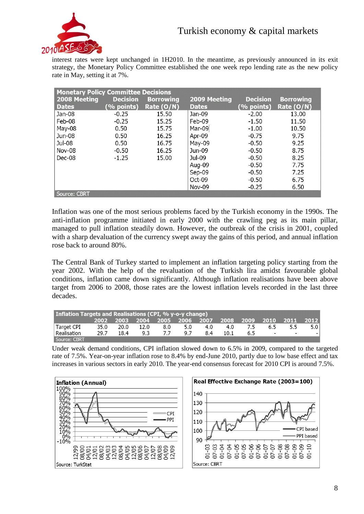

interest rates were kept unchanged in 1H2010. In the meantime, as previously announced in its exit strategy, the Monetary Policy Committee established the one week repo lending rate as the new policy rate in May, setting it at 7%.

| <b>Monetary Policy Committee Decisions</b> |                 |                  |               |                 |                  |  |  |  |  |  |
|--------------------------------------------|-----------------|------------------|---------------|-----------------|------------------|--|--|--|--|--|
| 2008 Meeting                               | <b>Decision</b> | <b>Borrowing</b> | 2009 Meeting  | <b>Decision</b> | <b>Borrowing</b> |  |  |  |  |  |
| <b>Dates</b>                               | $(%$ points)    | Rate (O/N)       | <b>Dates</b>  | $(%$ points)    | Rate (O/N)       |  |  |  |  |  |
| Jan-08                                     | $-0.25$         | 15.50            | Jan-09        | $-2.00$         | 13.00            |  |  |  |  |  |
| Feb-08                                     | $-0.25$         | 15.25            | Feb-09        | $-1.50$         | 11.50            |  |  |  |  |  |
| May-08                                     | 0.50            | 15.75            | Mar-09        | $-1.00$         | 10.50            |  |  |  |  |  |
| Jun-08                                     | 0.50            | 16.25            | Apr-09        | $-0.75$         | 9.75             |  |  |  |  |  |
| Jul-08                                     | 0.50            | 16.75            | May-09        | $-0.50$         | 9.25             |  |  |  |  |  |
| Nov-08                                     | $-0.50$         | 16.25            | Jun-09        | $-0.50$         | 8.75             |  |  |  |  |  |
| Dec-08                                     | $-1.25$         | 15.00            | Jul-09        | $-0.50$         | 8.25             |  |  |  |  |  |
|                                            |                 |                  | Aug-09        | $-0.50$         | 7.75             |  |  |  |  |  |
|                                            |                 |                  | Sep-09        | $-0.50$         | 7.25             |  |  |  |  |  |
|                                            |                 |                  | Oct-09        | $-0.50$         | 6.75             |  |  |  |  |  |
|                                            |                 |                  | <b>Nov-09</b> | $-0.25$         | 6.50             |  |  |  |  |  |
| Source: CBRT                               |                 |                  |               |                 |                  |  |  |  |  |  |

Inflation was one of the most serious problems faced by the Turkish economy in the 1990s. The anti-inflation programme initiated in early 2000 with the crawling peg as its main pillar, managed to pull inflation steadily down. However, the outbreak of the crisis in 2001, coupled with a sharp devaluation of the currency swept away the gains of this period, and annual inflation rose back to around 80%.

The Central Bank of Turkey started to implement an inflation targeting policy starting from the year 2002. With the help of the revaluation of the Turkish lira amidst favourable global conditions, inflation came down significantly. Although inflation realisations have been above target from 2006 to 2008, those rates are the lowest inflation levels recorded in the last three decades.

| Inflation Targets and Realisations (CPI, % y-o-y change) |      |      |           |     |     |     |      |     |        |                                                        |      |
|----------------------------------------------------------|------|------|-----------|-----|-----|-----|------|-----|--------|--------------------------------------------------------|------|
|                                                          |      |      |           |     |     |     |      |     |        | 2002 2003 2004 2005 2006 2007 2008 2009 2010 2011 2012 |      |
| ' Target CPI                                             | 35.0 |      | 20.0 12.0 | 8.0 | 5.0 | 4.0 | 4.0  | 7.5 | 6.5    | 5.5                                                    | 5.01 |
| Realisation                                              | 29.7 | 18.4 | 9.3       | 7.7 | 97  | 8.4 | 10.1 | 65  | $\sim$ | $\overline{\phantom{0}}$                               |      |
| Source: CBRT                                             |      |      |           |     |     |     |      |     |        |                                                        |      |

Under weak demand conditions, CPI inflation slowed down to 6.5% in 2009, compared to the targeted rate of 7.5%. Year-on-year inflation rose to 8.4% by end-June 2010, partly due to low base effect and tax increases in various sectors in early 2010. The year-end consensus forecast for 2010 CPI is around 7.5%.

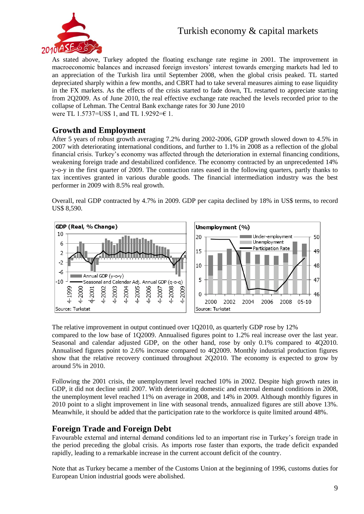

As stated above, Turkey adopted the floating exchange rate regime in 2001. The improvement in macroeconomic balances and increased foreign investors' interest towards emerging markets had led to an appreciation of the Turkish lira until September 2008, when the global crisis peaked. TL started depreciated sharply within a few months, and CBRT had to take several measures aiming to ease liquidity in the FX markets. As the effects of the crisis started to fade down, TL restarted to appreciate starting from 2Q2009. As of June 2010, the real effective exchange rate reached the levels recorded prior to the collapse of Lehman. The Central Bank exchange rates for 30 June 2010 were TL 1.5737=US\$ 1, and TL 1.9292=€ 1.

#### **Growth and Employment**

After 5 years of robust growth averaging 7.2% during 2002-2006, GDP growth slowed down to 4.5% in 2007 with deteriorating international conditions, and further to 1.1% in 2008 as a reflection of the global financial crisis. Turkey's economy was affected through the deterioration in external financing conditions, weakening foreign trade and destabilized confidence. The economy contracted by an unprecedented 14% y-o-y in the first quarter of 2009. The contraction rates eased in the following quarters, partly thanks to tax incentives granted in various durable goods. The financial intermediation industry was the best performer in 2009 with 8.5% real growth.

Overall, real GDP contracted by 4.7% in 2009. GDP per capita declined by 18% in US\$ terms, to record US\$ 8,590.



The relative improvement in output continued over 1Q2010, as quarterly GDP rose by 12% compared to the low base of 1Q2009. Annualised figures point to 1.2% real increase over the last year. Seasonal and calendar adjusted GDP, on the other hand, rose by only 0.1% compared to 4Q2010. Annualised figures point to 2.6% increase compared to 4Q2009. Monthly industrial production figures show that the relative recovery continued throughout 2Q2010. The economy is expected to grow by around 5% in 2010.

Following the 2001 crisis, the unemployment level reached 10% in 2002. Despite high growth rates in GDP, it did not decline until 2007. With deteriorating domestic and external demand conditions in 2008, the unemployment level reached 11% on average in 2008, and 14% in 2009. Although monthly figures in 2010 point to a slight improvement in line with seasonal trends, annualized figures are still above 13%. Meanwhile, it should be added that the participation rate to the workforce is quite limited around 48%.

#### **Foreign Trade and Foreign Debt**

Favourable external and internal demand conditions led to an important rise in Turkey's foreign trade in the period preceding the global crisis. As imports rose faster than exports, the trade deficit expanded rapidly, leading to a remarkable increase in the current account deficit of the country.

Note that as Turkey became a member of the Customs Union at the beginning of 1996, customs duties for European Union industrial goods were abolished.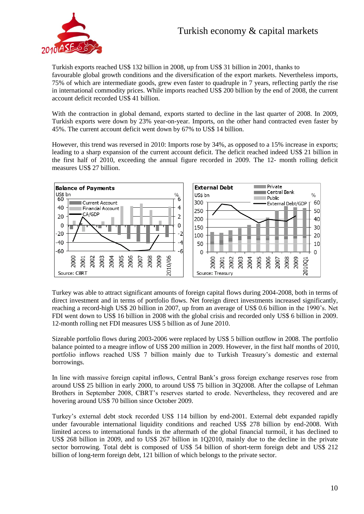

Turkish exports reached US\$ 132 billion in 2008, up from US\$ 31 billion in 2001, thanks to favourable global growth conditions and the diversification of the export markets. Nevertheless imports, 75% of which are intermediate goods, grew even faster to quadruple in 7 years, reflecting partly the rise in international commodity prices. While imports reached US\$ 200 billion by the end of 2008, the current account deficit recorded US\$ 41 billion.

With the contraction in global demand, exports started to decline in the last quarter of 2008. In 2009, Turkish exports were down by 23% year-on-year. Imports, on the other hand contracted even faster by 45%. The current account deficit went down by 67% to US\$ 14 billion.

However, this trend was reversed in 2010: Imports rose by 34%, as opposed to a 15% increase in exports; leading to a sharp expansion of the current account deficit. The deficit reached indeed US\$ 21 billion in the first half of 2010, exceeding the annual figure recorded in 2009. The 12- month rolling deficit measures US\$ 27 billion.



Turkey was able to attract significant amounts of foreign capital flows during 2004-2008, both in terms of direct investment and in terms of portfolio flows. Net foreign direct investments increased significantly, reaching a record-high US\$ 20 billion in 2007, up from an average of US\$ 0.6 billion in the 1990's. Net FDI went down to US\$ 16 billion in 2008 with the global crisis and recorded only US\$ 6 billion in 2009. 12-month rolling net FDI measures US\$ 5 billion as of June 2010.

Sizeable portfolio flows during 2003-2006 were replaced by US\$ 5 billion outflow in 2008. The portfolio balance pointed to a meagre inflow of US\$ 200 million in 2009. However, in the first half months of 2010, portfolio inflows reached US\$ 7 billion mainly due to Turkish Treasury's domestic and external borrowings.

In line with massive foreign capital inflows, Central Bank's gross foreign exchange reserves rose from around US\$ 25 billion in early 2000, to around US\$ 75 billion in 3Q2008. After the collapse of Lehman Brothers in September 2008, CBRT's reserves started to erode. Nevertheless, they recovered and are hovering around US\$ 70 billion since October 2009.

Turkey's external debt stock recorded US\$ 114 billion by end-2001. External debt expanded rapidly under favourable international liquidity conditions and reached US\$ 278 billion by end-2008. With limited access to international funds in the aftermath of the global financial turmoil, it has declined to US\$ 268 billion in 2009, and to US\$ 267 billion in 1Q2010, mainly due to the decline in the private sector borrowing. Total debt is composed of US\$ 54 billion of short-term foreign debt and US\$ 212 billion of long-term foreign debt, 121 billion of which belongs to the private sector.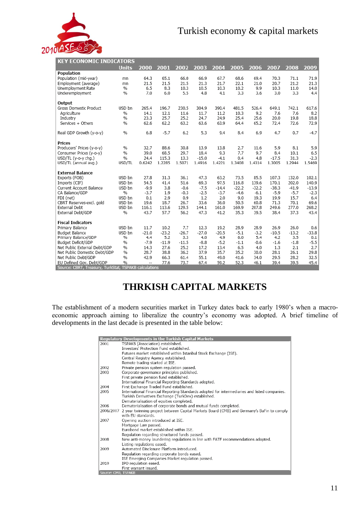

 $\frac{1}{2}$  $\cdots$ 

| <u>KET ELUNUMIL INDILATUKS</u>                        |               |                          |         |         |         |         |         |         |         |         |         |
|-------------------------------------------------------|---------------|--------------------------|---------|---------|---------|---------|---------|---------|---------|---------|---------|
|                                                       | <b>Units</b>  | 2000                     | 2001    | 2002    | 2003    | 2004    | 2005    | 2006    | 2007    | 2008    | 2009    |
| Population                                            |               |                          |         |         |         |         |         |         |         |         |         |
| Population (mid-year)                                 | mn            | 64.3                     | 65.1    | 66.0    | 66.9    | 67.7    | 68.6    | 69.4    | 70.3    | 71.1    | 71.9    |
| Employment (average)                                  | mn            | 21.5                     | 21.5    | 21.5    | 21.3    | 21.7    | 22.1    | 21.0    | 20.7    | 21.2    | 21.3    |
| Unemployment Rate                                     | %             | 6.5                      | 8.3     | 10.3    | 10.5    | 10.3    | 10.2    | 9.9     | 10.3    | 11.0    | 14.0    |
| Underemployment                                       | %             | 7.0                      | 6.0     | 5.5     | 4.8     | 4.1     | 3.3     | 3.6     | 3.0     | 3.3     | 4.4     |
| Output                                                |               |                          |         |         |         |         |         |         |         |         |         |
| Gross Domestic Product                                | USD bn        | 265.4                    | 196.7   | 230.5   | 304.9   | 390.4   | 481.5   | 526.4   | 649.1   | 742.1   | 617.6   |
| Aariculture                                           | $\frac{9}{6}$ | 14.1                     | 12.1    | 11.6    | 11.7    | 11.2    | 10.3    | 9.2     | 7.6     | 7.6     | 8.2     |
| Industry                                              | $\frac{9}{6}$ | 23.3                     | 25.7    | 25.2    | 24.7    | 24.9    | 25.4    | 25.6    | 20.0    | 19.8    | 18.8    |
| Services + Others                                     | $\frac{9}{6}$ | 62.6                     | 62.2    | 63.2    | 63.6    | 63.9    | 64.4    | 65.2    | 72.4    | 72.6    | 72.9    |
| Real GDP Growth (y-o-y)                               | %             | 6.8                      | $-5.7$  | 6.2     | 5.3     | 9.4     | 8.4     | 6.9     | 4.7     | 0.7     | $-4.7$  |
| Prices                                                |               |                          |         |         |         |         |         |         |         |         |         |
| Producers' Prices (y-o-y)                             | %             | 32.7                     | 88.6    | 30.8    | 13.9    | 13.8    | 2.7     | 11.6    | 5.9     | 8.1     | 5.9     |
| Consumer Prices (y-o-y)                               | %             | 39.0                     | 68.5    | 29.7    | 18.4    | 9.3     | 7.7     | 9.7     | 8.4     | 10.1    | 6.5     |
| USD/TL (y-o-y cha.)                                   | $\frac{9}{6}$ | 24.4                     | 115.3   | 13.3    | $-15.0$ | $-4.1$  | 0.4     | 4.8     | $-17.5$ | 31.3    | $-2.3$  |
| USD/TL (annual avg.)                                  | USD/TL        | 0.6242                   | 1.2285  | 1.5071  | 1.4916  | 1.4221  | 1.3408  | 1.4314  | 1.3005  | 1.2944  | 1.5469  |
| <b>External Balance</b>                               |               |                          |         |         |         |         |         |         |         |         |         |
| Exports (FOB)                                         | USD bn        | 27.8                     | 31.3    | 36.1    | 47.3    | 63.2    | 73.5    | 85.5    | 107.3   | 132.0   | 102.1   |
| Imports (CIF)                                         | USD bn        | 54.5                     | 41.4    | 51.6    | 69.3    | 97.5    | 116.8   | 139.6   | 170.1   | 202.0   | 140.9   |
| <b>Current Account Balance</b>                        | USD bn        | $-9.9$                   | 3.8     | $-0.6$  | $-7.5$  | $-14.4$ | $-22.2$ | $-32.2$ | $-38.3$ | $-41.9$ | $-13.9$ |
| CA Balance/GDP                                        | $\frac{9}{6}$ | $-3.7$                   | 1.9     | $-0.3$  | $-2.5$  | $-3.7$  | $-4.6$  | $-6.1$  | $-5.9$  | $-5.7$  | $-2.3$  |
| FDI (net)                                             | USD bn        | 0.1                      | 2.9     | 0.9     | 1.2     | 2.0     | 9.0     | 19.3    | 19.9    | 15.7    | 6.4     |
| CBRT Reserves-excl. gold                              | USD bn        | 19.6                     | 18.7    | 26.7    | 33.6    | 36.0    | 50.5    | 60.8    | 71.3    | 70.1    | 69.6    |
| External Debt                                         | USD bn        | 116.1                    | 113.6   | 129.5   | 144.1   | 161.0   | 169.9   | 207.8   | 249.6   | 277.0   | 268.2   |
| External Debt/GDP                                     | %             | 43.7                     | 57.7    | 56.2    | 47.3    | 41.2    | 35.3    | 39.5    | 38.4    | 37.3    | 43.4    |
| <b>Fiscal Indicators</b>                              |               |                          |         |         |         |         |         |         |         |         |         |
| Primary Balance                                       | USD bn        | 11.7                     | 10.2    | 7.7     | 12.3    | 19.2    | 28.9    | 28.9    | 26.9    | 26.0    | 0.6     |
| <b>Budget Balance</b>                                 | USD bn        | $-21.0$                  | $-23.2$ | $-26.7$ | $-27.0$ | $-20.5$ | $-5.1$  | $-3.2$  | $-10.5$ | $-13.2$ | $-33.8$ |
| Primary Balance/GDP                                   | %             | 4.4                      | 5.2     | 3.3     | 4.0     | 4.9     | 6.0     | 5.4     | 4.2     | 3.5     | 0.1     |
| Budget Deficit/GDP                                    | %             | $-7.9$                   | $-11.9$ | $-11.5$ | $-8.8$  | $-5.2$  | $-1.1$  | $-0.6$  | $-1.6$  | $-1.8$  | $-5.5$  |
| Net Public External Debt/GDP                          | %             | 14.3                     | 27.6    | 25.2    | 17.2    | 13.4    | 6.5     | 4.0     | 1.3     | 2.1     | 2.7     |
| Net Public Domestic Debt/GDP                          | %             | 28.7                     | 38.8    | 36.2    | 37.9    | 35.7    | 35.2    | 30.0    | 28.1    | 26.1    | 29.8    |
| Net Public Debt/GDP                                   | %             | 42.9                     | 66.3    | 61.4    | 55.1    | 49.0    | 41.6    | 34.0    | 29.5    | 28.2    | 32.5    |
| EU Defined Gov. Debt/GDP                              | %             | $\overline{\phantom{a}}$ | 77.6    | 73.7    | 67.4    | 59.2    | 52.3    | 46.1    | 39.4    | 39.5    | 45.4    |
| Source: CBRT, Treasury, TurkStat, TSPAKB calculations |               |                          |         |         |         |         |         |         |         |         |         |

## **THRKISH CAPITAL MARKETS**

The establishment of a modern securities market in Turkey dates back to early 1980's when a macroeconomic approach aiming to liberalize the country's economy was adopted. A brief timeline of developments in the last decade is presented in the table below:

|                     | <b>Regulatory Developments in the Turkish Capital Markets</b>                                       |
|---------------------|-----------------------------------------------------------------------------------------------------|
| 2001                | TSPAKB (Association) established.                                                                   |
|                     | Investors' Protection Fund established.                                                             |
|                     | Futures market established within Istanbul Stock Exchange (ISE).                                    |
|                     | Central Registry Agency established.                                                                |
|                     | Remote trading started at ISE.                                                                      |
| 2002                | Private pension system regulation passed.                                                           |
| 2003                | Corporate governance principles published.                                                          |
|                     | First private pension fund established.                                                             |
|                     | International Financial Reporting Standards adopted.                                                |
| 2004                | First Exchange Traded Fund established.                                                             |
| 2005                | International Financial Reporting Standards adopted for intermediaries and listed companies.        |
|                     | Turkish Derivatives Exchange (TurkDex) established.                                                 |
|                     | Dematerialisation of equities completed.                                                            |
| 2006                | Dematerialisation of corporate bonds and mutual funds completed.                                    |
|                     | 2006/2007 2 year twinning project between Capital Markets Board (CMB) and Germany's BaFin to comply |
|                     | with EU standards.                                                                                  |
| 2007                | Opening auction introduced at ISE.                                                                  |
|                     | Mortgage Law passed.                                                                                |
|                     | Furobond market established within ISE.                                                             |
|                     | Regulation regarding structured funds passed.                                                       |
| 2008                | New anti-money laundering regulations in line with FATF recommendations adopted.                    |
|                     | Listing regulations eased.                                                                          |
| 2009                | Automated Disclosure Platform introduced.                                                           |
|                     | Regulation regarding corporate bonds eased.                                                         |
|                     | ISE Emerging Companies Market regulation passed.                                                    |
| 2010                | IPO regulation eased.                                                                               |
|                     | First warrant issued.                                                                               |
| Source: CMB, TSPAKB |                                                                                                     |
|                     |                                                                                                     |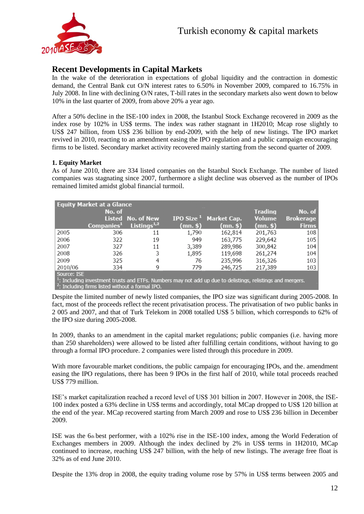

#### **Recent Developments in Capital Markets**

In the wake of the deterioration in expectations of global liquidity and the contraction in domestic demand, the Central Bank cut O/N interest rates to 6.50% in November 2009, compared to 16.75% in July 2008. In line with declining O/N rates, T-bill rates in the secondary markets also went down to below 10% in the last quarter of 2009, from above 20% a year ago.

After a 50% decline in the ISE-100 index in 2008, the Istanbul Stock Exchange recovered in 2009 as the index rose by 102% in US\$ terms. The index was rather stagnant in 1H2010; Mcap rose slightly to US\$ 247 billion, from US\$ 236 billion by end-2009, with the help of new listings. The IPO market revived in 2010, reacting to an amendment easing the IPO regulation and a public campaign encouraging firms to be listed. Secondary market activity recovered mainly starting from the second quarter of 2009.

#### **1. Equity Market**

As of June 2010, there are 334 listed companies on the Istanbul Stock Exchange. The number of listed companies was stagnating since 2007, furthermore a slight decline was observed as the number of IPOs remained limited amidst global financial turmoil.

| <b>Equity Market at a Glance</b> |                                                    |                   |                                                                                                                        |                                         |                |                  |  |  |  |  |
|----------------------------------|----------------------------------------------------|-------------------|------------------------------------------------------------------------------------------------------------------------|-----------------------------------------|----------------|------------------|--|--|--|--|
|                                  | No. of                                             |                   |                                                                                                                        |                                         | <b>Trading</b> | No. of           |  |  |  |  |
|                                  |                                                    | Listed No. of New |                                                                                                                        | <b>IPO Size<sup>1</sup></b> Market Cap. | <b>Volume</b>  | <b>Brokerage</b> |  |  |  |  |
|                                  | Companies <sup>1</sup>                             | Listings $1,2$    | (mn. \$)                                                                                                               | $(mn.$ \$                               | $(mn.$ \$      | <b>Firms</b>     |  |  |  |  |
| 2005                             | 306                                                | 11                | 1,790                                                                                                                  | 162,814                                 | 201,763        | 108              |  |  |  |  |
| 2006                             | 322                                                | 19                | 949                                                                                                                    | 163,775                                 | 229,642        | 105              |  |  |  |  |
| 2007                             | 327                                                | 11                | 3,389                                                                                                                  | 289,986                                 | 300,842        | 104              |  |  |  |  |
| 2008                             | 326                                                | 3                 | 1,895                                                                                                                  | 119,698                                 | 261,274        | 104              |  |  |  |  |
| 2009                             | 325                                                | 4                 | 76                                                                                                                     | 235,996                                 | 316,326        | 103              |  |  |  |  |
| 2010/06                          | 334                                                | 9                 | 779                                                                                                                    | 246,725                                 | 217,389        | 103              |  |  |  |  |
| Source: ISE                      |                                                    |                   |                                                                                                                        |                                         |                |                  |  |  |  |  |
|                                  |                                                    |                   | <sup>1</sup> : Including investment trusts and ETFs. Numbers may not add up due to delistings, relistings and mergers. |                                         |                |                  |  |  |  |  |
|                                  | $2$ : Including firms listed without a formal IPO. |                   |                                                                                                                        |                                         |                |                  |  |  |  |  |

Despite the limited number of newly listed companies, the IPO size was significant during 2005-2008. In fact, most of the proceeds reflect the recent privatisation process. The privatisation of two public banks in 2 005 and 2007, and that of Turk Telekom in 2008 totalled US\$ 5 billion, which corresponds to 62% of the IPO size during 2005-2008.

In 2009, thanks to an amendment in the capital market regulations; public companies (i.e. having more than 250 shareholders) were allowed to be listed after fulfilling certain conditions, without having to go through a formal IPO procedure. 2 companies were listed through this procedure in 2009.

With more favourable market conditions, the public campaign for encouraging IPOs, and the. amendment easing the IPO regulations, there has been 9 IPOs in the first half of 2010, while total proceeds reached US\$ 779 million.

ISE's market capitalization reached a record level of US\$ 301 billion in 2007. However in 2008, the ISE-100 index posted a 63% decline in US\$ terms and accordingly, total MCap dropped to US\$ 120 billion at the end of the year. MCap recovered starting from March 2009 and rose to US\$ 236 billion in December 2009.

ISE was the 6th best performer, with a 102% rise in the ISE-100 index, among the World Federation of Exchanges members in 2009. Although the index declined by 2% in US\$ terms in 1H2010, MCap continued to increase, reaching US\$ 247 billion, with the help of new listings. The average free float is 32% as of end June 2010.

Despite the 13% drop in 2008, the equity trading volume rose by 57% in US\$ terms between 2005 and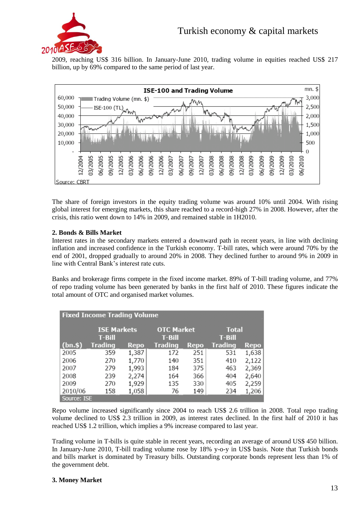

2009, reaching US\$ 316 billion. In January-June 2010, trading volume in equities reached US\$ 217 billion, up by 69% compared to the same period of last year.



The share of foreign investors in the equity trading volume was around 10% until 2004. With rising global interest for emerging markets, this share reached to a record-high 27% in 2008. However, after the crisis, this ratio went down to 14% in 2009, and remained stable in 1H2010.

#### **2. Bonds & Bills Market**

Interest rates in the secondary markets entered a downward path in recent years, in line with declining inflation and increased confidence in the Turkish economy. T-bill rates, which were around 70% by the end of 2001, dropped gradually to around 20% in 2008. They declined further to around 9% in 2009 in line with Central Bank's interest rate cuts.

Banks and brokerage firms compete in the fixed income market. 89% of T-bill trading volume, and 77% of repo trading volume has been generated by banks in the first half of 2010. These figures indicate the total amount of OTC and organised market volumes.

| <b>Fixed Income Trading Volume</b> |                                |             |                               |             |                          |             |  |  |  |  |
|------------------------------------|--------------------------------|-------------|-------------------------------|-------------|--------------------------|-------------|--|--|--|--|
|                                    | <b>ISE Markets</b><br>$T-Bill$ |             | <b>OTC Market</b><br>$T-Bill$ |             | <b>Total</b><br>$T-Bill$ |             |  |  |  |  |
| (bn.\$)                            | <b>Trading</b>                 | <b>Repo</b> | <b>Trading</b>                | <b>Repo</b> | <b>Trading</b>           | <b>Repo</b> |  |  |  |  |
| 2005                               | 359                            | 1,387       | 172                           | 251         | 531                      | 1,638       |  |  |  |  |
| 2006                               | 270                            | 1,770       | 140                           | 351         | 410                      | 2,122       |  |  |  |  |
| 2007                               | 279                            | 1,993       | 184                           | 375         | 463                      | 2,369       |  |  |  |  |
| 2008                               | 239                            | 2,274       | 164                           | 366         | 404                      | 2,640       |  |  |  |  |
| 2009                               | 270                            | 1,929       | 135                           | 330         | 405                      | 2,259       |  |  |  |  |
| 2010/06                            | 158                            | 1,058       | 76                            | 149         | 234                      | 1,206       |  |  |  |  |
| Source: ISE                        |                                |             |                               |             |                          |             |  |  |  |  |

Repo volume increased significantly since 2004 to reach US\$ 2.6 trillion in 2008. Total repo trading volume declined to US\$ 2.3 trillion in 2009, as interest rates declined. In the first half of 2010 it has reached US\$ 1.2 trillion, which implies a 9% increase compared to last year.

Trading volume in T-bills is quite stable in recent years, recording an average of around US\$ 450 billion. In January-June 2010, T-bill trading volume rose by 18% y-o-y in US\$ basis. Note that Turkish bonds and bills market is dominated by Treasury bills. Outstanding corporate bonds represent less than 1% of the government debt.

#### **3. Money Market**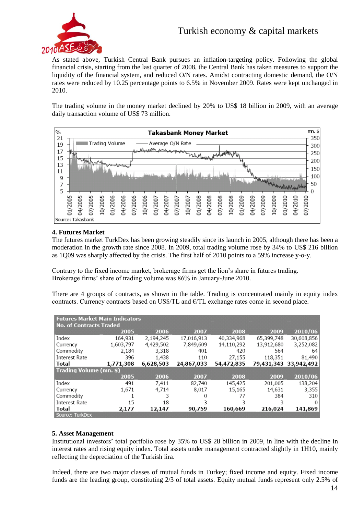

As stated above, Turkish Central Bank pursues an inflation-targeting policy. Following the global financial crisis, starting from the last quarter of 2008, the Central Bank has taken measures to support the liquidity of the financial system, and reduced O/N rates. Amidst contracting domestic demand, the O/N rates were reduced by 10.25 percentage points to 6.5% in November 2009. Rates were kept unchanged in 2010.

The trading volume in the money market declined by 20% to US\$ 18 billion in 2009, with an average daily transaction volume of US\$ 73 million.



#### **4. Futures Market**

The futures market TurkDex has been growing steadily since its launch in 2005, although there has been a moderation in the growth rate since 2008. In 2009, total trading volume rose by 34% to US\$ 216 billion as 1Q09 was sharply affected by the crisis. The first half of 2010 points to a 59% increase y-o-y.

Contrary to the fixed income market, brokerage firms get the lion's share in futures trading. Brokerage firms' share of trading volume was 86% in January-June 2010.

There are 4 groups of contracts, as shown in the table. Trading is concentrated mainly in equity index contracts. Currency contracts based on US\$/TL and  $E$ /TL exchange rates come in second place.

| <b>Futures Market Main Indicators</b> |                                |           |            |            |            |                       |  |  |  |  |  |
|---------------------------------------|--------------------------------|-----------|------------|------------|------------|-----------------------|--|--|--|--|--|
|                                       | <b>No. of Contracts Traded</b> |           |            |            |            |                       |  |  |  |  |  |
|                                       | 2005                           | 2006      | 2007       | 2008       | 2009       | 2010/06               |  |  |  |  |  |
| Index                                 | 164,931                        | 2,194,245 | 17,016,913 | 40,334,968 | 65,399,748 | 30,608,856            |  |  |  |  |  |
| Currency                              | 1,603,797                      | 4,429,502 | 7,849,609  | 14,110,292 | 13,912,680 | 3,252,082             |  |  |  |  |  |
| Commodity                             | 2,184                          | 3,318     | 401        | 420        | 564        | 64                    |  |  |  |  |  |
| Interest Rate                         | 396                            | 1,438     | 110        | 27,155     | 118,351    | 81,490                |  |  |  |  |  |
| Total                                 | 1,771,308                      | 6,628,503 | 24,867,033 | 54,472,835 |            | 79,431,343 33,942,492 |  |  |  |  |  |
| Trading Volume (mn. \$)               |                                |           |            |            |            |                       |  |  |  |  |  |
|                                       | 2005                           | 2006      | 2007       | 2008       | 2009       | 2010/06               |  |  |  |  |  |
| Index                                 | 491                            | 7,411     | 82,740     | 145,425    | 201,005    | 138,204               |  |  |  |  |  |
| Currency                              | 1,671                          | 4,714     | 8,017      | 15,165     | 14,631     | 3,355                 |  |  |  |  |  |
| Commodity                             |                                | 3         | 0          | 77         | 384        | 310                   |  |  |  |  |  |
| <b>Interest Rate</b>                  | 15                             | 18        | 3          | 3          | 3          | $\Omega$              |  |  |  |  |  |
| Total                                 | 2,177                          | 12,147    | 90,759     | 160,669    | 216,024    | 141,869               |  |  |  |  |  |
| Source: TurkDex                       |                                |           |            |            |            |                       |  |  |  |  |  |

#### **5. Asset Management**

Institutional investors' total portfolio rose by 35% to US\$ 28 billion in 2009, in line with the decline in interest rates and rising equity index. Total assets under management contracted slightly in 1H10, mainly reflecting the depreciation of the Turkish lira.

Indeed, there are two major classes of mutual funds in Turkey; fixed income and equity. Fixed income funds are the leading group, constituting 2/3 of total assets. Equity mutual funds represent only 2.5% of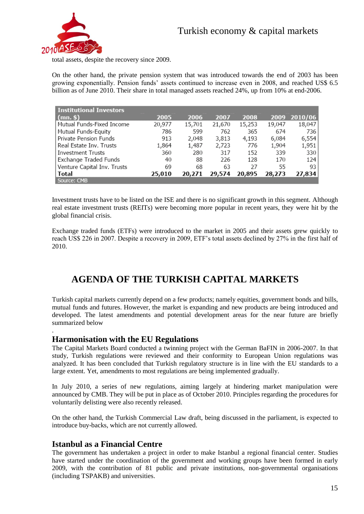

total assets, despite the recovery since 2009.

On the other hand, the private pension system that was introduced towards the end of 2003 has been growing exponentially. Pension funds' assets continued to increase even in 2008, and reached US\$ 6.5 billion as of June 2010. Their share in total managed assets reached 24%, up from 10% at end-2006.

| <b>Institutional Investors</b> |        |        |        |        |        |         |
|--------------------------------|--------|--------|--------|--------|--------|---------|
| $(mn.$ \$                      | 2005   | 2006   | 2007   | 2008   | 2009   | 2010/06 |
| Mutual Funds-Fixed Income      | 20,977 | 15,701 | 21,670 | 15,253 | 19,047 | 18,047  |
| Mutual Funds-Equity            | 786    | 599    | 762    | 365    | 674    | 736     |
| Private Pension Funds          | 913    | 2,048  | 3,813  | 4,193  | 6,084  | 6,554   |
| Real Estate Inv. Trusts        | 1,864  | 1,487  | 2,723  | 776    | 1,904  | 1,951   |
| <b>Investment Trusts</b>       | 360    | 280    | 317    | 152    | 339    | 330     |
| Exchange Traded Funds          | 40     | 88     | 226    | 128    | 170    | 124     |
| Venture Capital Inv. Trusts    | 69     | 68     | 63     | 27     | 55     | 93      |
| Total                          | 25,010 | 20,271 | 29,574 | 20,895 | 28,273 | 27,834  |
| Source: CMB                    |        |        |        |        |        |         |

Investment trusts have to be listed on the ISE and there is no significant growth in this segment. Although real estate investment trusts (REITs) were becoming more popular in recent years, they were hit by the global financial crisis.

Exchange traded funds (ETFs) were introduced to the market in 2005 and their assets grew quickly to reach US\$ 226 in 2007. Despite a recovery in 2009, ETF's total assets declined by 27% in the first half of 2010.

## **AGENDA OF THE TURKISH CAPITAL MARKETS**

Turkish capital markets currently depend on a few products; namely equities, government bonds and bills, mutual funds and futures. However, the market is expanding and new products are being introduced and developed. The latest amendments and potential development areas for the near future are briefly summarized below

#### **Harmonisation with the EU Regulations**

.

The Capital Markets Board conducted a twinning project with the German BaFIN in 2006-2007. In that study, Turkish regulations were reviewed and their conformity to European Union regulations was analyzed. It has been concluded that Turkish regulatory structure is in line with the EU standards to a large extent. Yet, amendments to most regulations are being implemented gradually.

In July 2010, a series of new regulations, aiming largely at hindering market manipulation were announced by CMB. They will be put in place as of October 2010. Principles regarding the procedures for voluntarily delisting were also recently released.

On the other hand, the Turkish Commercial Law draft, being discussed in the parliament, is expected to introduce buy-backs, which are not currently allowed.

#### **Istanbul as a Financial Centre**

The government has undertaken a project in order to make Istanbul a regional financial center. Studies have started under the coordination of the government and working groups have been formed in early 2009, with the contribution of 81 public and private institutions, non-governmental organisations (including TSPAKB) and universities.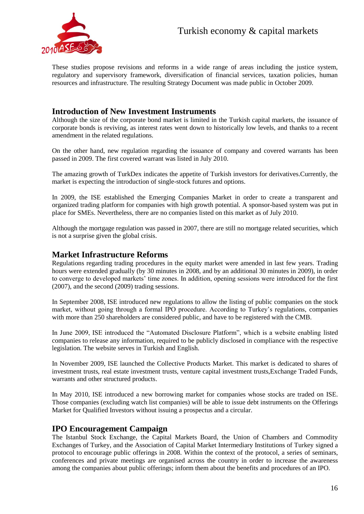

These studies propose revisions and reforms in a wide range of areas including the justice system, regulatory and supervisory framework, diversification of financial services, taxation policies, human resources and infrastructure. The resulting Strategy Document was made public in October 2009.

#### **Introduction of New Investment Instruments**

Although the size of the corporate bond market is limited in the Turkish capital markets, the issuance of corporate bonds is reviving, as interest rates went down to historically low levels, and thanks to a recent amendment in the related regulations.

On the other hand, new regulation regarding the issuance of company and covered warrants has been passed in 2009. The first covered warrant was listed in July 2010.

The amazing growth of TurkDex indicates the appetite of Turkish investors for derivatives.Currently, the market is expecting the introduction of single-stock futures and options.

In 2009, the ISE established the Emerging Companies Market in order to create a transparent and organized trading platform for companies with high growth potential. A sponsor-based system was put in place for SMEs. Nevertheless, there are no companies listed on this market as of July 2010.

Although the mortgage regulation was passed in 2007, there are still no mortgage related securities, which is not a surprise given the global crisis.

#### **Market Infrastructure Reforms**

Regulations regarding trading procedures in the equity market were amended in last few years. Trading hours were extended gradually (by 30 minutes in 2008, and by an additional 30 minutes in 2009), in order to converge to developed markets' time zones. In addition, opening sessions were introduced for the first (2007), and the second (2009) trading sessions.

In September 2008, ISE introduced new regulations to allow the listing of public companies on the stock market, without going through a formal IPO procedure. According to Turkey's regulations, companies with more than 250 shareholders are considered public, and have to be registered with the CMB.

In June 2009, ISE introduced the "Automated Disclosure Platform", which is a website enabling listed companies to release any information, required to be publicly disclosed in compliance with the respective legislation. The website serves in Turkish and English.

In November 2009, ISE launched the Collective Products Market. This market is dedicated to shares of investment trusts, real estate investment trusts, venture capital investment trusts,Exchange Traded Funds, warrants and other structured products.

In May 2010, ISE introduced a new borrowing market for companies whose stocks are traded on ISE. Those companies (excluding watch list companies) will be able to issue debt instruments on the Offerings Market for Qualified Investors without issuing a prospectus and a circular.

#### **IPO Encouragement Campaign**

The Istanbul Stock Exchange, the Capital Markets Board, the Union of Chambers and Commodity Exchanges of Turkey, and the Association of Capital Market Intermediary Institutions of Turkey signed a protocol to encourage public offerings in 2008. Within the context of the protocol, a series of seminars, conferences and private meetings are organised across the country in order to increase the awareness among the companies about public offerings; inform them about the benefits and procedures of an IPO.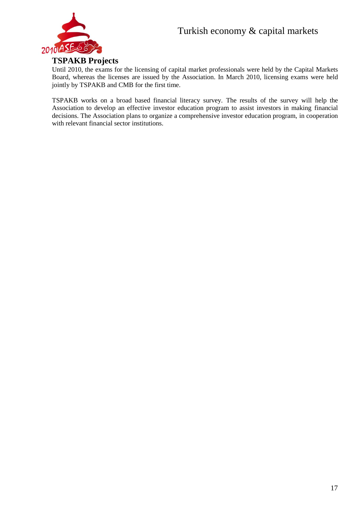

#### **TSPAKB Projects**

Until 2010, the exams for the licensing of capital market professionals were held by the Capital Markets Board, whereas the licenses are issued by the Association. In March 2010, licensing exams were held jointly by TSPAKB and CMB for the first time.

TSPAKB works on a broad based financial literacy survey. The results of the survey will help the Association to develop an effective investor education program to assist investors in making financial decisions. The Association plans to organize a comprehensive investor education program, in cooperation with relevant financial sector institutions.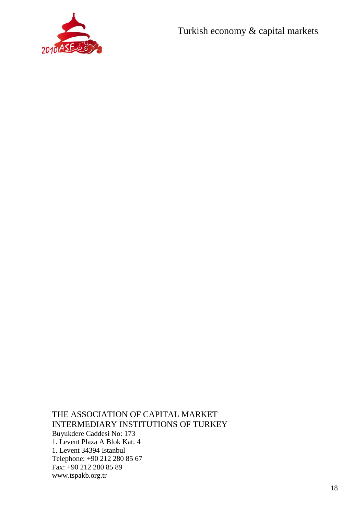

THE ASSOCIATION OF CAPITAL MARKET INTERMEDIARY INSTITUTIONS OF TURKEY Buyukdere Caddesi No: 173 1. Levent Plaza A Blok Kat: 4 1. Levent 34394 Istanbul Telephone: +90 212 280 85 67 Fax: +90 212 280 85 89 www.tspakb.org.tr